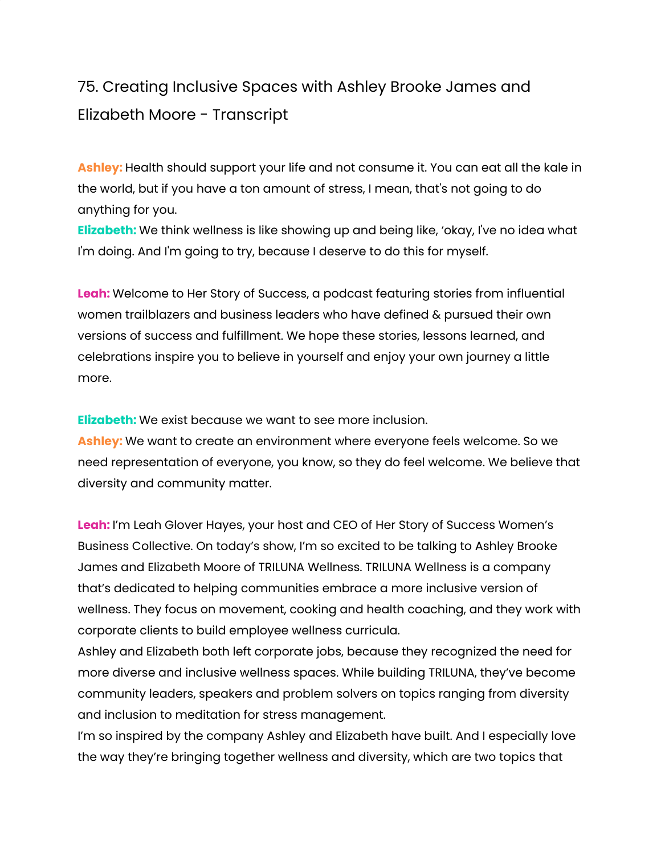# 75. Creating Inclusive Spaces with Ashley Brooke James and Elizabeth Moore - Transcript

**Ashley:** Health should support your life and not consume it. You can eat all the kale in the world, but if you have a ton amount of stress, I mean, that's not going to do anything for you.

**Elizabeth:** We think wellness is like showing up and being like, 'okay, I've no idea what I'm doing. And I'm going to try, because I deserve to do this for myself.

**Leah:** Welcome to Her Story of Success, a podcast featuring stories from influential women trailblazers and business leaders who have defined & pursued their own versions of success and fulfillment. We hope these stories, lessons learned, and celebrations inspire you to believe in yourself and enjoy your own journey a little more.

**Elizabeth:** We exist because we want to see more inclusion.

**Ashley:** We want to create an environment where everyone feels welcome. So we need representation of everyone, you know, so they do feel welcome. We believe that diversity and community matter.

**Leah:** I'm Leah Glover Hayes, your host and CEO of Her Story of Success Women's Business Collective. On today's show, I'm so excited to be talking to Ashley Brooke James and Elizabeth Moore of TRILUNA Wellness. TRILUNA Wellness is a company that's dedicated to helping communities embrace a more inclusive version of wellness. They focus on movement, cooking and health coaching, and they work with corporate clients to build employee wellness curricula.

Ashley and Elizabeth both left corporate jobs, because they recognized the need for more diverse and inclusive wellness spaces. While building TRILUNA, they've become community leaders, speakers and problem solvers on topics ranging from diversity and inclusion to meditation for stress management.

I'm so inspired by the company Ashley and Elizabeth have built. And I especially love the way they're bringing together wellness and diversity, which are two topics that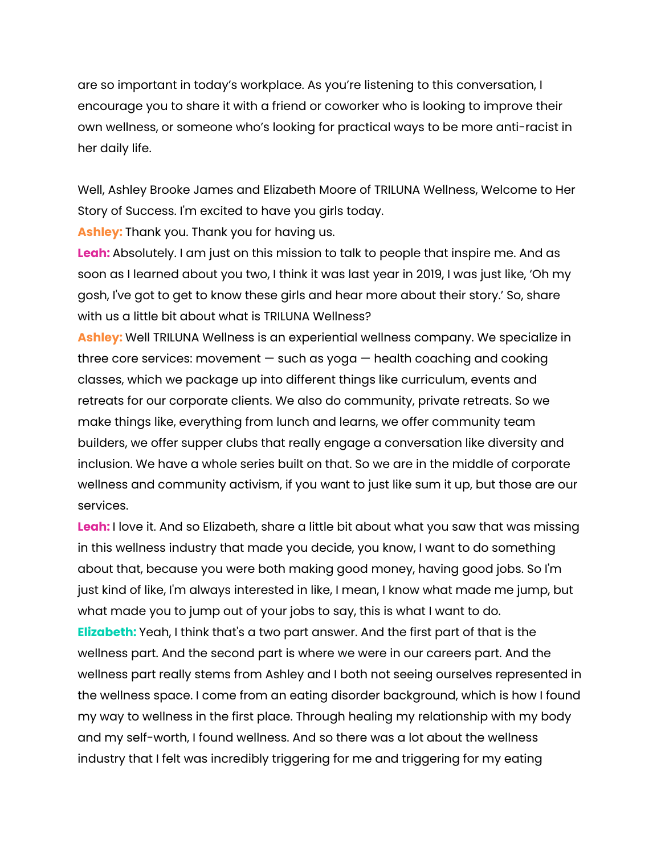are so important in today's workplace. As you're listening to this conversation, I encourage you to share it with a friend or coworker who is looking to improve their own wellness, or someone who's looking for practical ways to be more anti-racist in her daily life.

Well, Ashley Brooke James and Elizabeth Moore of TRILUNA Wellness, Welcome to Her Story of Success. I'm excited to have you girls today.

**Ashley:** Thank you. Thank you for having us.

**Leah:** Absolutely. I am just on this mission to talk to people that inspire me. And as soon as I learned about you two, I think it was last year in 2019, I was just like, 'Oh my gosh, I've got to get to know these girls and hear more about their story.' So, share with us a little bit about what is TRILUNA Wellness?

**Ashley:** Well TRILUNA Wellness is an experiential wellness company. We specialize in three core services: movement — such as yoga — health coaching and cooking classes, which we package up into different things like curriculum, events and retreats for our corporate clients. We also do community, private retreats. So we make things like, everything from lunch and learns, we offer community team builders, we offer supper clubs that really engage a conversation like diversity and inclusion. We have a whole series built on that. So we are in the middle of corporate wellness and community activism, if you want to just like sum it up, but those are our services.

**Leah:** I love it. And so Elizabeth, share a little bit about what you saw that was missing in this wellness industry that made you decide, you know, I want to do something about that, because you were both making good money, having good jobs. So I'm just kind of like, I'm always interested in like, I mean, I know what made me jump, but what made you to jump out of your jobs to say, this is what I want to do. **Elizabeth:** Yeah, I think that's a two part answer. And the first part of that is the wellness part. And the second part is where we were in our careers part. And the wellness part really stems from Ashley and I both not seeing ourselves represented in the wellness space. I come from an eating disorder background, which is how I found my way to wellness in the first place. Through healing my relationship with my body and my self-worth, I found wellness. And so there was a lot about the wellness industry that I felt was incredibly triggering for me and triggering for my eating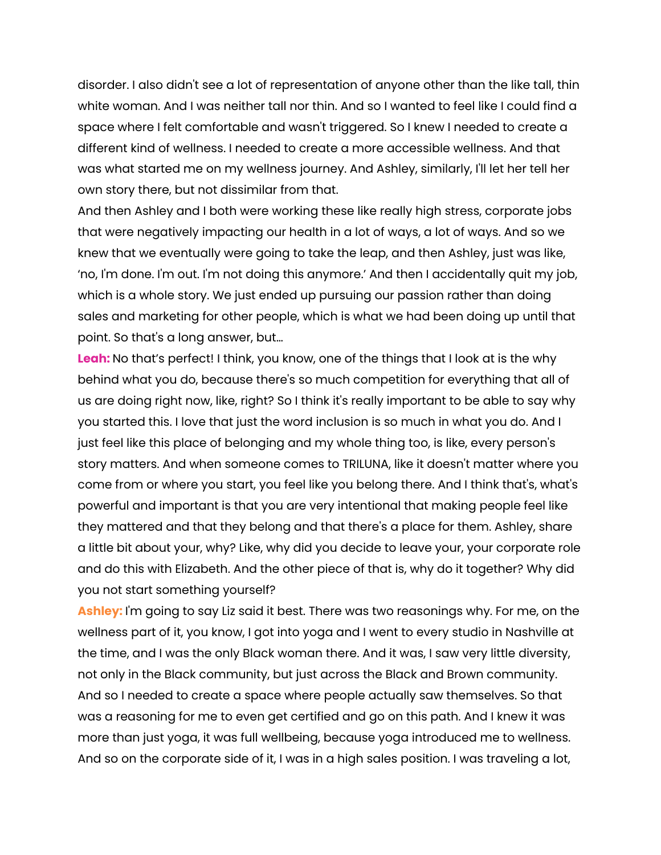disorder. I also didn't see a lot of representation of anyone other than the like tall, thin white woman. And I was neither tall nor thin. And so I wanted to feel like I could find a space where I felt comfortable and wasn't triggered. So I knew I needed to create a different kind of wellness. I needed to create a more accessible wellness. And that was what started me on my wellness journey. And Ashley, similarly, I'll let her tell her own story there, but not dissimilar from that.

And then Ashley and I both were working these like really high stress, corporate jobs that were negatively impacting our health in a lot of ways, a lot of ways. And so we knew that we eventually were going to take the leap, and then Ashley, just was like, 'no, I'm done. I'm out. I'm not doing this anymore.' And then I accidentally quit my job, which is a whole story. We just ended up pursuing our passion rather than doing sales and marketing for other people, which is what we had been doing up until that point. So that's a long answer, but…

**Leah:** No that's perfect! I think, you know, one of the things that I look at is the why behind what you do, because there's so much competition for everything that all of us are doing right now, like, right? So I think it's really important to be able to say why you started this. I love that just the word inclusion is so much in what you do. And I just feel like this place of belonging and my whole thing too, is like, every person's story matters. And when someone comes to TRILUNA, like it doesn't matter where you come from or where you start, you feel like you belong there. And I think that's, what's powerful and important is that you are very intentional that making people feel like they mattered and that they belong and that there's a place for them. Ashley, share a little bit about your, why? Like, why did you decide to leave your, your corporate role and do this with Elizabeth. And the other piece of that is, why do it together? Why did you not start something yourself?

**Ashley:** I'm going to say Liz said it best. There was two reasonings why. For me, on the wellness part of it, you know, I got into yoga and I went to every studio in Nashville at the time, and I was the only Black woman there. And it was, I saw very little diversity, not only in the Black community, but just across the Black and Brown community. And so I needed to create a space where people actually saw themselves. So that was a reasoning for me to even get certified and go on this path. And I knew it was more than just yoga, it was full wellbeing, because yoga introduced me to wellness. And so on the corporate side of it, I was in a high sales position. I was traveling a lot,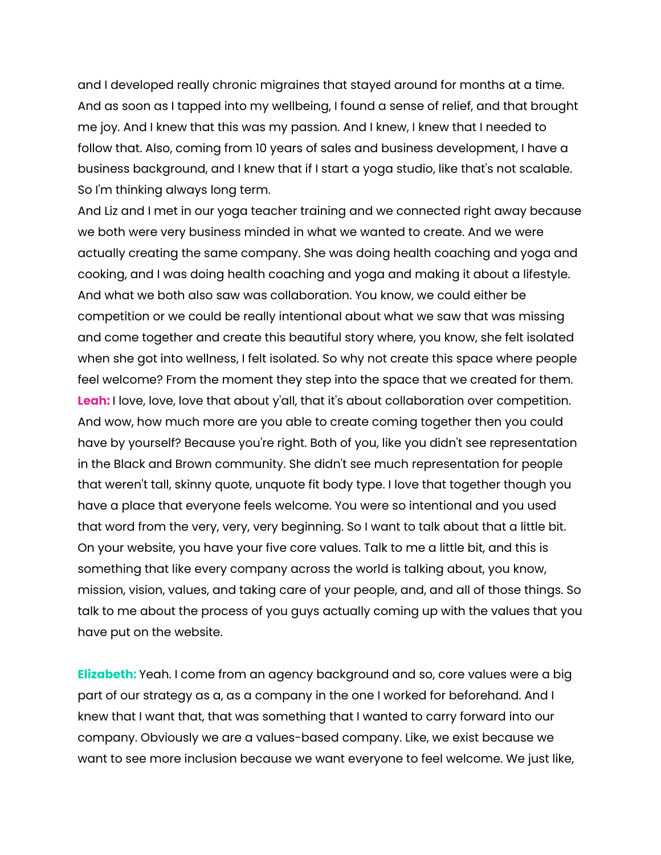and I developed really chronic migraines that stayed around for months at a time. And as soon as I tapped into my wellbeing, I found a sense of relief, and that brought me joy. And I knew that this was my passion. And I knew, I knew that I needed to follow that. Also, coming from 10 years of sales and business development, I have a business background, and I knew that if I start a yoga studio, like that's not scalable. So I'm thinking always long term.

And Liz and I met in our yoga teacher training and we connected right away because we both were very business minded in what we wanted to create. And we were actually creating the same company. She was doing health coaching and yoga and cooking, and I was doing health coaching and yoga and making it about a lifestyle. And what we both also saw was collaboration. You know, we could either be competition or we could be really intentional about what we saw that was missing and come together and create this beautiful story where, you know, she felt isolated when she got into wellness, I felt isolated. So why not create this space where people feel welcome? From the moment they step into the space that we created for them. **Leah:** I love, love, love that about y'all, that it's about collaboration over competition. And wow, how much more are you able to create coming together then you could have by yourself? Because you're right. Both of you, like you didn't see representation in the Black and Brown community. She didn't see much representation for people that weren't tall, skinny quote, unquote fit body type. I love that together though you have a place that everyone feels welcome. You were so intentional and you used that word from the very, very, very beginning. So I want to talk about that a little bit. On your website, you have your five core values. Talk to me a little bit, and this is something that like every company across the world is talking about, you know, mission, vision, values, and taking care of your people, and, and all of those things. So talk to me about the process of you guys actually coming up with the values that you have put on the website.

**Elizabeth:** Yeah. I come from an agency background and so, core values were a big part of our strategy as a, as a company in the one I worked for beforehand. And I knew that I want that, that was something that I wanted to carry forward into our company. Obviously we are a values-based company. Like, we exist because we want to see more inclusion because we want everyone to feel welcome. We just like,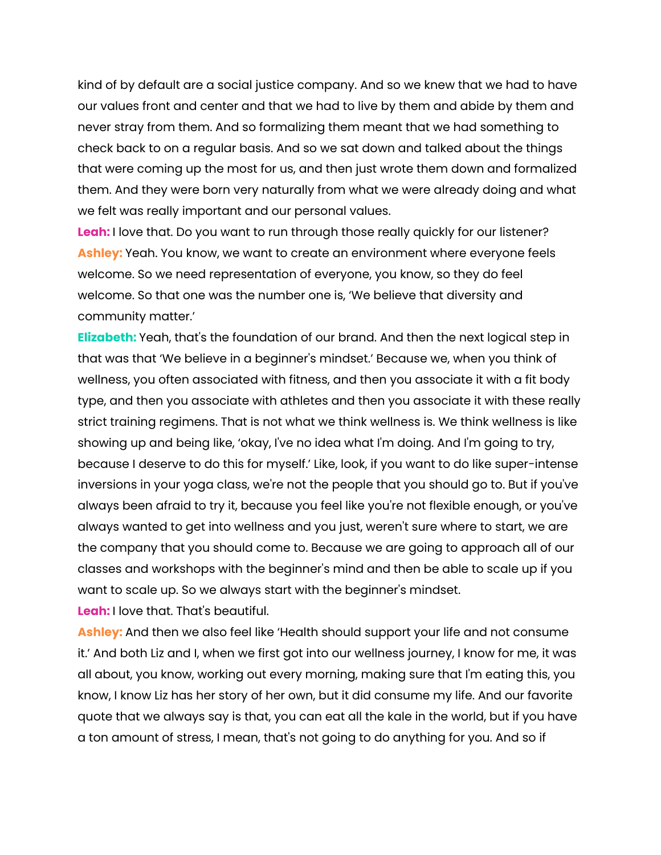kind of by default are a social justice company. And so we knew that we had to have our values front and center and that we had to live by them and abide by them and never stray from them. And so formalizing them meant that we had something to check back to on a regular basis. And so we sat down and talked about the things that were coming up the most for us, and then just wrote them down and formalized them. And they were born very naturally from what we were already doing and what we felt was really important and our personal values.

**Leah:** I love that. Do you want to run through those really quickly for our listener? **Ashley:** Yeah. You know, we want to create an environment where everyone feels welcome. So we need representation of everyone, you know, so they do feel welcome. So that one was the number one is, 'We believe that diversity and community matter.'

**Elizabeth:** Yeah, that's the foundation of our brand. And then the next logical step in that was that 'We believe in a beginner's mindset.' Because we, when you think of wellness, you often associated with fitness, and then you associate it with a fit body type, and then you associate with athletes and then you associate it with these really strict training regimens. That is not what we think wellness is. We think wellness is like showing up and being like, 'okay, I've no idea what I'm doing. And I'm going to try, because I deserve to do this for myself.' Like, look, if you want to do like super-intense inversions in your yoga class, we're not the people that you should go to. But if you've always been afraid to try it, because you feel like you're not flexible enough, or you've always wanted to get into wellness and you just, weren't sure where to start, we are the company that you should come to. Because we are going to approach all of our classes and workshops with the beginner's mind and then be able to scale up if you want to scale up. So we always start with the beginner's mindset. **Leah:** I love that. That's beautiful.

**Ashley:** And then we also feel like 'Health should support your life and not consume it.' And both Liz and I, when we first got into our wellness journey, I know for me, it was all about, you know, working out every morning, making sure that I'm eating this, you know, I know Liz has her story of her own, but it did consume my life. And our favorite quote that we always say is that, you can eat all the kale in the world, but if you have a ton amount of stress, I mean, that's not going to do anything for you. And so if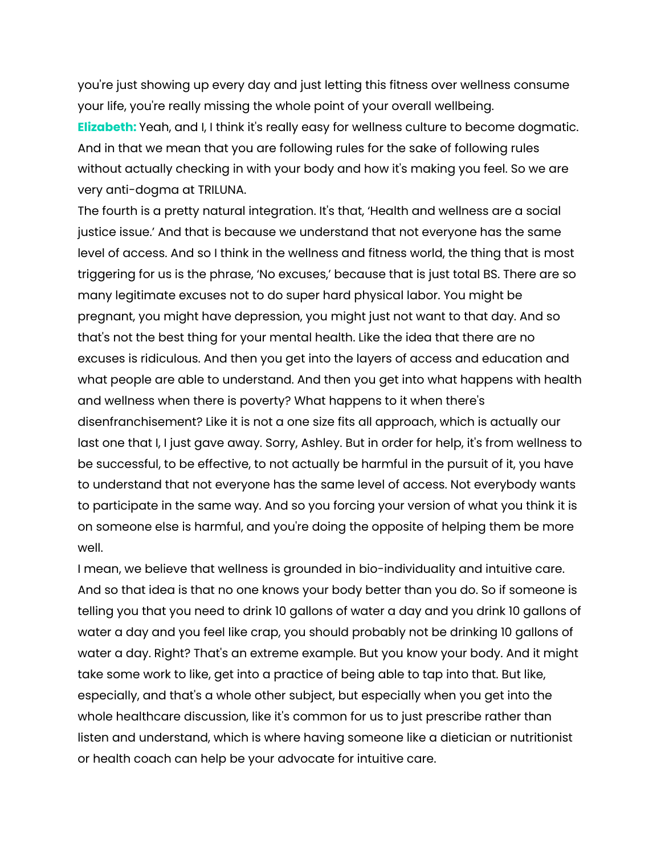you're just showing up every day and just letting this fitness over wellness consume your life, you're really missing the whole point of your overall wellbeing. **Elizabeth:** Yeah, and I, I think it's really easy for wellness culture to become dogmatic. And in that we mean that you are following rules for the sake of following rules without actually checking in with your body and how it's making you feel. So we are very anti-dogma at TRILUNA.

The fourth is a pretty natural integration. It's that, 'Health and wellness are a social justice issue.' And that is because we understand that not everyone has the same level of access. And so I think in the wellness and fitness world, the thing that is most triggering for us is the phrase, 'No excuses,' because that is just total BS. There are so many legitimate excuses not to do super hard physical labor. You might be pregnant, you might have depression, you might just not want to that day. And so that's not the best thing for your mental health. Like the idea that there are no excuses is ridiculous. And then you get into the layers of access and education and what people are able to understand. And then you get into what happens with health and wellness when there is poverty? What happens to it when there's disenfranchisement? Like it is not a one size fits all approach, which is actually our last one that I, I just gave away. Sorry, Ashley. But in order for help, it's from wellness to be successful, to be effective, to not actually be harmful in the pursuit of it, you have to understand that not everyone has the same level of access. Not everybody wants to participate in the same way. And so you forcing your version of what you think it is on someone else is harmful, and you're doing the opposite of helping them be more well.

I mean, we believe that wellness is grounded in bio-individuality and intuitive care. And so that idea is that no one knows your body better than you do. So if someone is telling you that you need to drink 10 gallons of water a day and you drink 10 gallons of water a day and you feel like crap, you should probably not be drinking 10 gallons of water a day. Right? That's an extreme example. But you know your body. And it might take some work to like, get into a practice of being able to tap into that. But like, especially, and that's a whole other subject, but especially when you get into the whole healthcare discussion, like it's common for us to just prescribe rather than listen and understand, which is where having someone like a dietician or nutritionist or health coach can help be your advocate for intuitive care.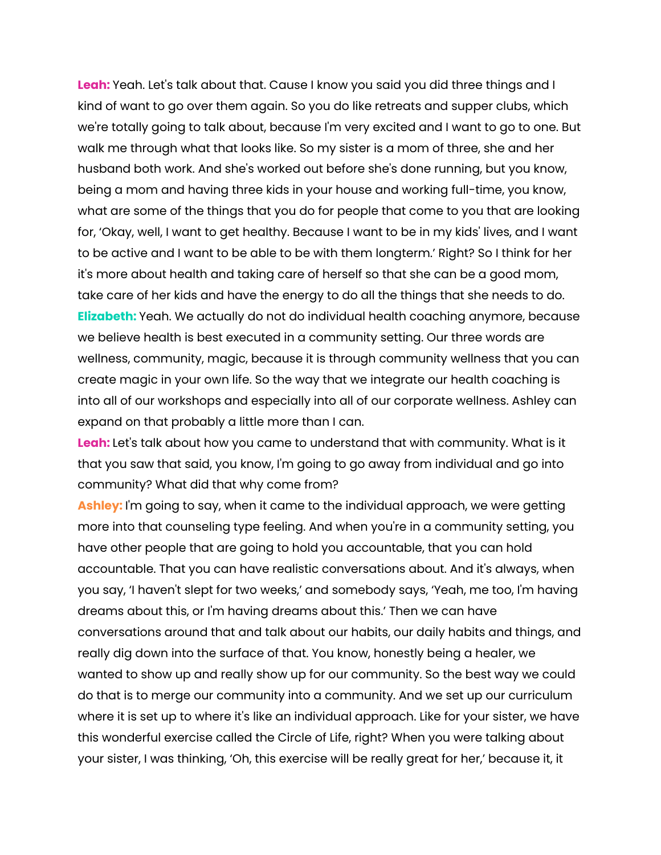**Leah:** Yeah. Let's talk about that. Cause I know you said you did three things and I kind of want to go over them again. So you do like retreats and supper clubs, which we're totally going to talk about, because I'm very excited and I want to go to one. But walk me through what that looks like. So my sister is a mom of three, she and her husband both work. And she's worked out before she's done running, but you know, being a mom and having three kids in your house and working full-time, you know, what are some of the things that you do for people that come to you that are looking for, 'Okay, well, I want to get healthy. Because I want to be in my kids' lives, and I want to be active and I want to be able to be with them longterm.' Right? So I think for her it's more about health and taking care of herself so that she can be a good mom, take care of her kids and have the energy to do all the things that she needs to do. **Elizabeth:** Yeah. We actually do not do individual health coaching anymore, because we believe health is best executed in a community setting. Our three words are wellness, community, magic, because it is through community wellness that you can create magic in your own life. So the way that we integrate our health coaching is into all of our workshops and especially into all of our corporate wellness. Ashley can expand on that probably a little more than I can.

**Leah:** Let's talk about how you came to understand that with community. What is it that you saw that said, you know, I'm going to go away from individual and go into community? What did that why come from?

**Ashley:** I'm going to say, when it came to the individual approach, we were getting more into that counseling type feeling. And when you're in a community setting, you have other people that are going to hold you accountable, that you can hold accountable. That you can have realistic conversations about. And it's always, when you say, 'I haven't slept for two weeks,' and somebody says, 'Yeah, me too, I'm having dreams about this, or I'm having dreams about this.' Then we can have conversations around that and talk about our habits, our daily habits and things, and really dig down into the surface of that. You know, honestly being a healer, we wanted to show up and really show up for our community. So the best way we could do that is to merge our community into a community. And we set up our curriculum where it is set up to where it's like an individual approach. Like for your sister, we have this wonderful exercise called the Circle of Life, right? When you were talking about your sister, I was thinking, 'Oh, this exercise will be really great for her,' because it, it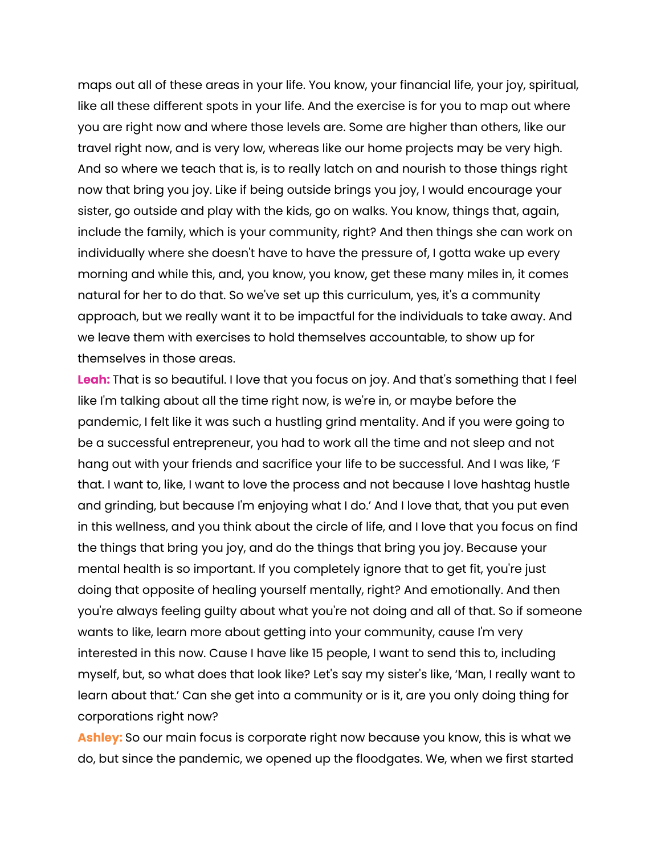maps out all of these areas in your life. You know, your financial life, your joy, spiritual, like all these different spots in your life. And the exercise is for you to map out where you are right now and where those levels are. Some are higher than others, like our travel right now, and is very low, whereas like our home projects may be very high. And so where we teach that is, is to really latch on and nourish to those things right now that bring you joy. Like if being outside brings you joy, I would encourage your sister, go outside and play with the kids, go on walks. You know, things that, again, include the family, which is your community, right? And then things she can work on individually where she doesn't have to have the pressure of, I gotta wake up every morning and while this, and, you know, you know, get these many miles in, it comes natural for her to do that. So we've set up this curriculum, yes, it's a community approach, but we really want it to be impactful for the individuals to take away. And we leave them with exercises to hold themselves accountable, to show up for themselves in those areas.

**Leah:** That is so beautiful. I love that you focus on joy. And that's something that I feel like I'm talking about all the time right now, is we're in, or maybe before the pandemic, I felt like it was such a hustling grind mentality. And if you were going to be a successful entrepreneur, you had to work all the time and not sleep and not hang out with your friends and sacrifice your life to be successful. And I was like, 'F that. I want to, like, I want to love the process and not because I love hashtag hustle and grinding, but because I'm enjoying what I do.' And I love that, that you put even in this wellness, and you think about the circle of life, and I love that you focus on find the things that bring you joy, and do the things that bring you joy. Because your mental health is so important. If you completely ignore that to get fit, you're just doing that opposite of healing yourself mentally, right? And emotionally. And then you're always feeling guilty about what you're not doing and all of that. So if someone wants to like, learn more about getting into your community, cause I'm very interested in this now. Cause I have like 15 people, I want to send this to, including myself, but, so what does that look like? Let's say my sister's like, 'Man, I really want to learn about that.' Can she get into a community or is it, are you only doing thing for corporations right now?

**Ashley:** So our main focus is corporate right now because you know, this is what we do, but since the pandemic, we opened up the floodgates. We, when we first started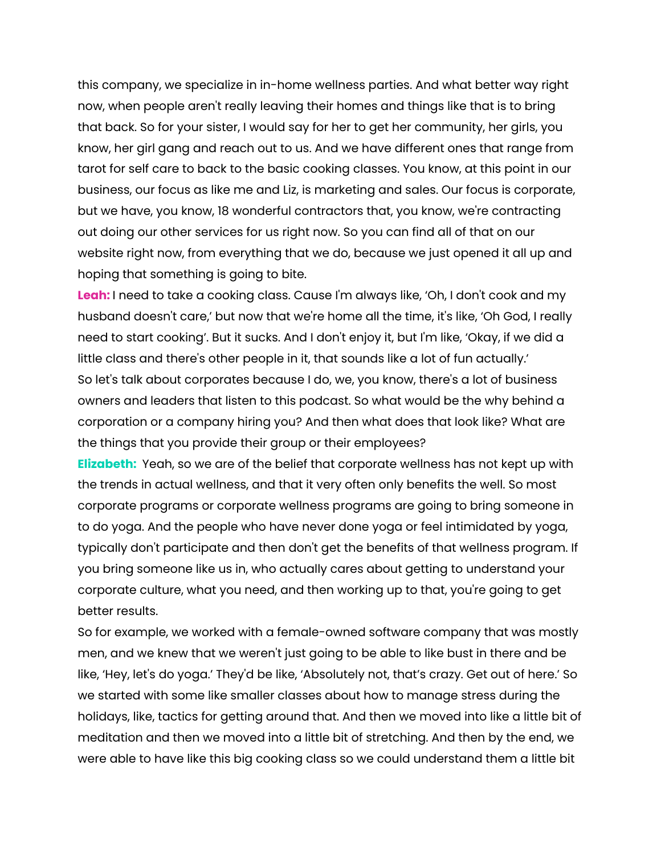this company, we specialize in in-home wellness parties. And what better way right now, when people aren't really leaving their homes and things like that is to bring that back. So for your sister, I would say for her to get her community, her girls, you know, her girl gang and reach out to us. And we have different ones that range from tarot for self care to back to the basic cooking classes. You know, at this point in our business, our focus as like me and Liz, is marketing and sales. Our focus is corporate, but we have, you know, 18 wonderful contractors that, you know, we're contracting out doing our other services for us right now. So you can find all of that on our website right now, from everything that we do, because we just opened it all up and hoping that something is going to bite.

**Leah:** I need to take a cooking class. Cause I'm always like, 'Oh, I don't cook and my husband doesn't care,' but now that we're home all the time, it's like, 'Oh God, I really need to start cooking'. But it sucks. And I don't enjoy it, but I'm like, 'Okay, if we did a little class and there's other people in it, that sounds like a lot of fun actually.' So let's talk about corporates because I do, we, you know, there's a lot of business owners and leaders that listen to this podcast. So what would be the why behind a corporation or a company hiring you? And then what does that look like? What are the things that you provide their group or their employees?

**Elizabeth:** Yeah, so we are of the belief that corporate wellness has not kept up with the trends in actual wellness, and that it very often only benefits the well. So most corporate programs or corporate wellness programs are going to bring someone in to do yoga. And the people who have never done yoga or feel intimidated by yoga, typically don't participate and then don't get the benefits of that wellness program. If you bring someone like us in, who actually cares about getting to understand your corporate culture, what you need, and then working up to that, you're going to get better results.

So for example, we worked with a female-owned software company that was mostly men, and we knew that we weren't just going to be able to like bust in there and be like, 'Hey, let's do yoga.' They'd be like, 'Absolutely not, that's crazy. Get out of here.' So we started with some like smaller classes about how to manage stress during the holidays, like, tactics for getting around that. And then we moved into like a little bit of meditation and then we moved into a little bit of stretching. And then by the end, we were able to have like this big cooking class so we could understand them a little bit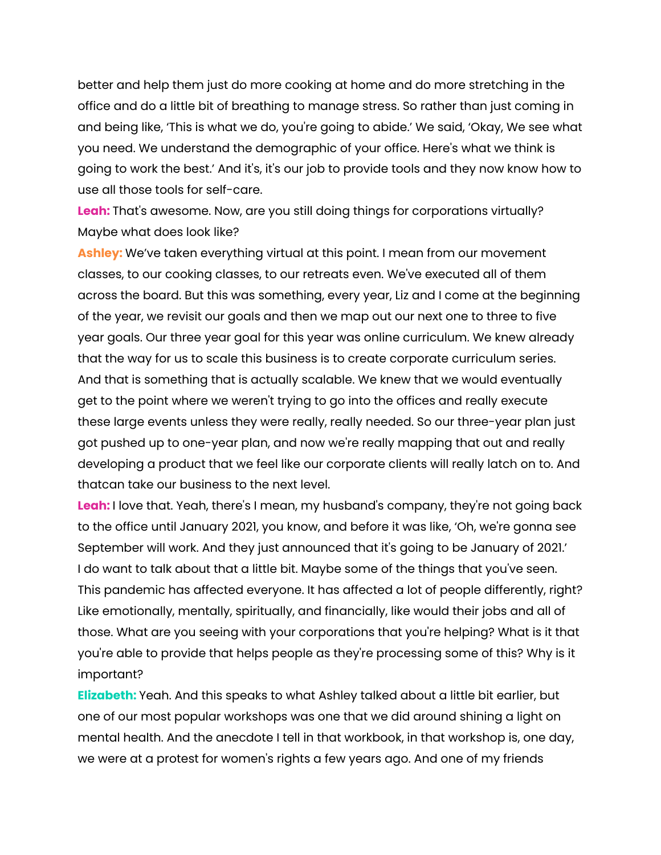better and help them just do more cooking at home and do more stretching in the office and do a little bit of breathing to manage stress. So rather than just coming in and being like, 'This is what we do, you're going to abide.' We said, 'Okay, We see what you need. We understand the demographic of your office. Here's what we think is going to work the best.' And it's, it's our job to provide tools and they now know how to use all those tools for self-care.

**Leah:** That's awesome. Now, are you still doing things for corporations virtually? Maybe what does look like?

**Ashley:** We've taken everything virtual at this point. I mean from our movement classes, to our cooking classes, to our retreats even. We've executed all of them across the board. But this was something, every year, Liz and I come at the beginning of the year, we revisit our goals and then we map out our next one to three to five year goals. Our three year goal for this year was online curriculum. We knew already that the way for us to scale this business is to create corporate curriculum series. And that is something that is actually scalable. We knew that we would eventually get to the point where we weren't trying to go into the offices and really execute these large events unless they were really, really needed. So our three-year plan just got pushed up to one-year plan, and now we're really mapping that out and really developing a product that we feel like our corporate clients will really latch on to. And thatcan take our business to the next level.

**Leah:** I love that. Yeah, there's I mean, my husband's company, they're not going back to the office until January 2021, you know, and before it was like, 'Oh, we're gonna see September will work. And they just announced that it's going to be January of 2021.' I do want to talk about that a little bit. Maybe some of the things that you've seen. This pandemic has affected everyone. It has affected a lot of people differently, right? Like emotionally, mentally, spiritually, and financially, like would their jobs and all of those. What are you seeing with your corporations that you're helping? What is it that you're able to provide that helps people as they're processing some of this? Why is it important?

**Elizabeth:** Yeah. And this speaks to what Ashley talked about a little bit earlier, but one of our most popular workshops was one that we did around shining a light on mental health. And the anecdote I tell in that workbook, in that workshop is, one day, we were at a protest for women's rights a few years ago. And one of my friends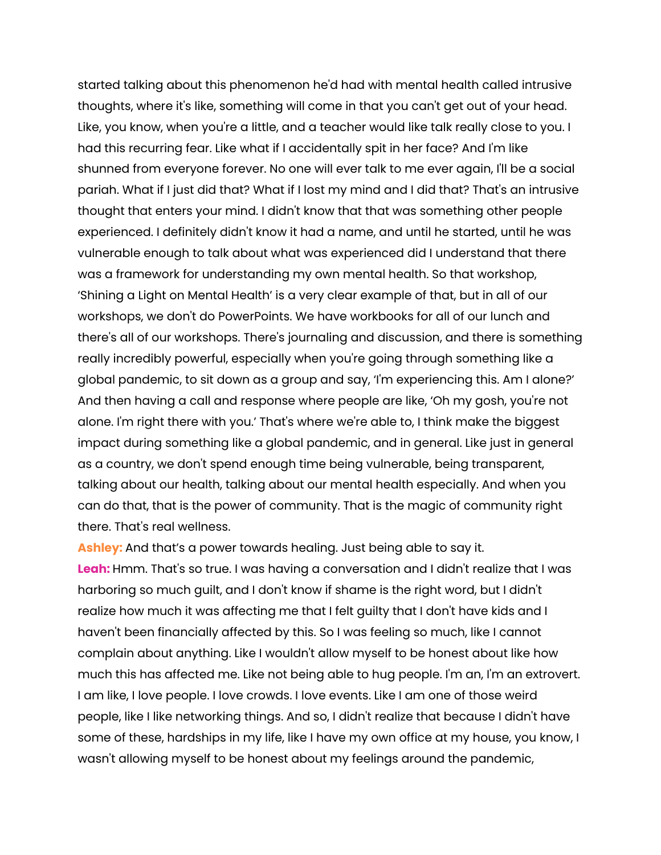started talking about this phenomenon he'd had with mental health called intrusive thoughts, where it's like, something will come in that you can't get out of your head. Like, you know, when you're a little, and a teacher would like talk really close to you. I had this recurring fear. Like what if I accidentally spit in her face? And I'm like shunned from everyone forever. No one will ever talk to me ever again, I'll be a social pariah. What if I just did that? What if I lost my mind and I did that? That's an intrusive thought that enters your mind. I didn't know that that was something other people experienced. I definitely didn't know it had a name, and until he started, until he was vulnerable enough to talk about what was experienced did I understand that there was a framework for understanding my own mental health. So that workshop, 'Shining a Light on Mental Health' is a very clear example of that, but in all of our workshops, we don't do PowerPoints. We have workbooks for all of our lunch and there's all of our workshops. There's journaling and discussion, and there is something really incredibly powerful, especially when you're going through something like a global pandemic, to sit down as a group and say, 'I'm experiencing this. Am I alone?' And then having a call and response where people are like, 'Oh my gosh, you're not alone. I'm right there with you.' That's where we're able to, I think make the biggest impact during something like a global pandemic, and in general. Like just in general as a country, we don't spend enough time being vulnerable, being transparent, talking about our health, talking about our mental health especially. And when you can do that, that is the power of community. That is the magic of community right there. That's real wellness.

**Ashley:** And that's a power towards healing. Just being able to say it. **Leah:** Hmm. That's so true. I was having a conversation and I didn't realize that I was harboring so much guilt, and I don't know if shame is the right word, but I didn't realize how much it was affecting me that I felt guilty that I don't have kids and I haven't been financially affected by this. So I was feeling so much, like I cannot complain about anything. Like I wouldn't allow myself to be honest about like how much this has affected me. Like not being able to hug people. I'm an, I'm an extrovert. I am like, I love people. I love crowds. I love events. Like I am one of those weird people, like I like networking things. And so, I didn't realize that because I didn't have some of these, hardships in my life, like I have my own office at my house, you know, I wasn't allowing myself to be honest about my feelings around the pandemic,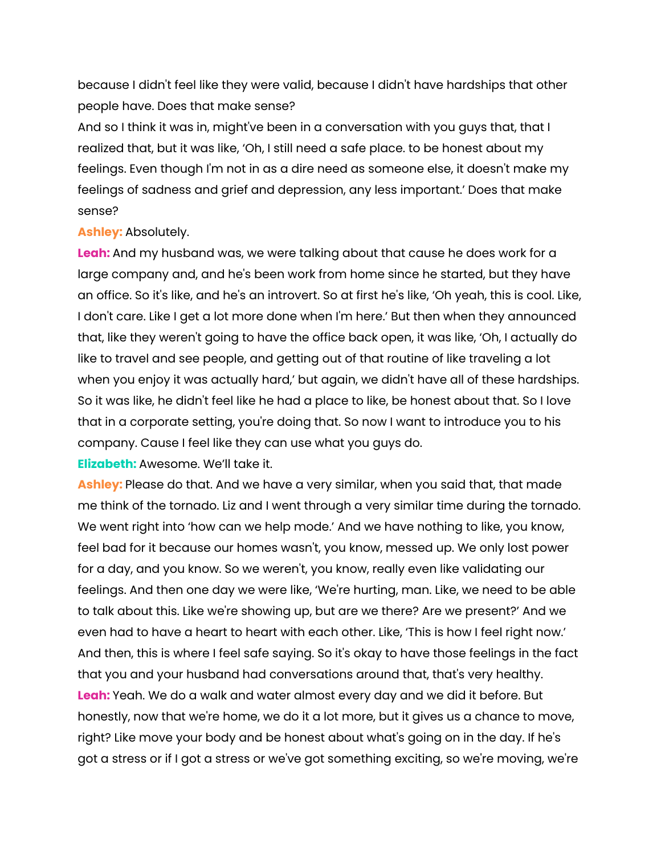because I didn't feel like they were valid, because I didn't have hardships that other people have. Does that make sense?

And so I think it was in, might've been in a conversation with you guys that, that I realized that, but it was like, 'Oh, I still need a safe place. to be honest about my feelings. Even though I'm not in as a dire need as someone else, it doesn't make my feelings of sadness and grief and depression, any less important.' Does that make sense?

### **Ashley:** Absolutely.

**Leah:** And my husband was, we were talking about that cause he does work for a large company and, and he's been work from home since he started, but they have an office. So it's like, and he's an introvert. So at first he's like, 'Oh yeah, this is cool. Like, I don't care. Like I get a lot more done when I'm here.' But then when they announced that, like they weren't going to have the office back open, it was like, 'Oh, I actually do like to travel and see people, and getting out of that routine of like traveling a lot when you enjoy it was actually hard,' but again, we didn't have all of these hardships. So it was like, he didn't feel like he had a place to like, be honest about that. So I love that in a corporate setting, you're doing that. So now I want to introduce you to his company. Cause I feel like they can use what you guys do.

**Elizabeth:** Awesome. We'll take it.

**Ashley:** Please do that. And we have a very similar, when you said that, that made me think of the tornado. Liz and I went through a very similar time during the tornado. We went right into 'how can we help mode.' And we have nothing to like, you know, feel bad for it because our homes wasn't, you know, messed up. We only lost power for a day, and you know. So we weren't, you know, really even like validating our feelings. And then one day we were like, 'We're hurting, man. Like, we need to be able to talk about this. Like we're showing up, but are we there? Are we present?' And we even had to have a heart to heart with each other. Like, 'This is how I feel right now.' And then, this is where I feel safe saying. So it's okay to have those feelings in the fact that you and your husband had conversations around that, that's very healthy. **Leah:** Yeah. We do a walk and water almost every day and we did it before. But honestly, now that we're home, we do it a lot more, but it gives us a chance to move, right? Like move your body and be honest about what's going on in the day. If he's got a stress or if I got a stress or we've got something exciting, so we're moving, we're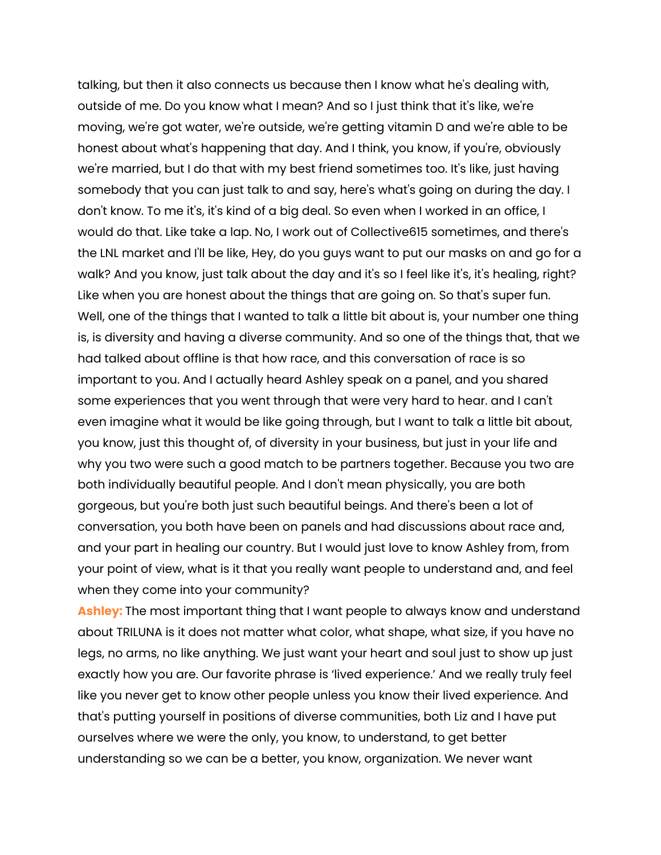talking, but then it also connects us because then I know what he's dealing with, outside of me. Do you know what I mean? And so I just think that it's like, we're moving, we're got water, we're outside, we're getting vitamin D and we're able to be honest about what's happening that day. And I think, you know, if you're, obviously we're married, but I do that with my best friend sometimes too. It's like, just having somebody that you can just talk to and say, here's what's going on during the day. I don't know. To me it's, it's kind of a big deal. So even when I worked in an office, I would do that. Like take a lap. No, I work out of Collective615 sometimes, and there's the LNL market and I'll be like, Hey, do you guys want to put our masks on and go for a walk? And you know, just talk about the day and it's so I feel like it's, it's healing, right? Like when you are honest about the things that are going on. So that's super fun. Well, one of the things that I wanted to talk a little bit about is, your number one thing is, is diversity and having a diverse community. And so one of the things that, that we had talked about offline is that how race, and this conversation of race is so important to you. And I actually heard Ashley speak on a panel, and you shared some experiences that you went through that were very hard to hear. and I can't even imagine what it would be like going through, but I want to talk a little bit about, you know, just this thought of, of diversity in your business, but just in your life and why you two were such a good match to be partners together. Because you two are both individually beautiful people. And I don't mean physically, you are both gorgeous, but you're both just such beautiful beings. And there's been a lot of conversation, you both have been on panels and had discussions about race and, and your part in healing our country. But I would just love to know Ashley from, from your point of view, what is it that you really want people to understand and, and feel when they come into your community?

**Ashley:** The most important thing that I want people to always know and understand about TRILUNA is it does not matter what color, what shape, what size, if you have no legs, no arms, no like anything. We just want your heart and soul just to show up just exactly how you are. Our favorite phrase is 'lived experience.' And we really truly feel like you never get to know other people unless you know their lived experience. And that's putting yourself in positions of diverse communities, both Liz and I have put ourselves where we were the only, you know, to understand, to get better understanding so we can be a better, you know, organization. We never want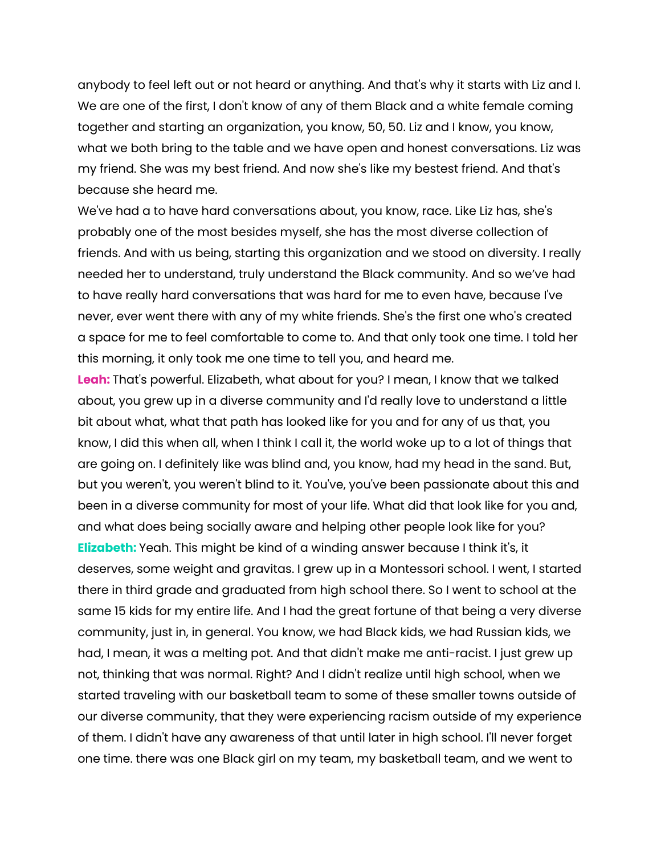anybody to feel left out or not heard or anything. And that's why it starts with Liz and I. We are one of the first, I don't know of any of them Black and a white female coming together and starting an organization, you know, 50, 50. Liz and I know, you know, what we both bring to the table and we have open and honest conversations. Liz was my friend. She was my best friend. And now she's like my bestest friend. And that's because she heard me.

We've had a to have hard conversations about, you know, race. Like Liz has, she's probably one of the most besides myself, she has the most diverse collection of friends. And with us being, starting this organization and we stood on diversity. I really needed her to understand, truly understand the Black community. And so we've had to have really hard conversations that was hard for me to even have, because I've never, ever went there with any of my white friends. She's the first one who's created a space for me to feel comfortable to come to. And that only took one time. I told her this morning, it only took me one time to tell you, and heard me.

**Leah:** That's powerful. Elizabeth, what about for you? I mean, I know that we talked about, you grew up in a diverse community and I'd really love to understand a little bit about what, what that path has looked like for you and for any of us that, you know, I did this when all, when I think I call it, the world woke up to a lot of things that are going on. I definitely like was blind and, you know, had my head in the sand. But, but you weren't, you weren't blind to it. You've, you've been passionate about this and been in a diverse community for most of your life. What did that look like for you and, and what does being socially aware and helping other people look like for you? **Elizabeth:** Yeah. This might be kind of a winding answer because I think it's, it deserves, some weight and gravitas. I grew up in a Montessori school. I went, I started there in third grade and graduated from high school there. So I went to school at the same 15 kids for my entire life. And I had the great fortune of that being a very diverse community, just in, in general. You know, we had Black kids, we had Russian kids, we had, I mean, it was a melting pot. And that didn't make me anti-racist. I just grew up not, thinking that was normal. Right? And I didn't realize until high school, when we started traveling with our basketball team to some of these smaller towns outside of our diverse community, that they were experiencing racism outside of my experience of them. I didn't have any awareness of that until later in high school. I'll never forget one time. there was one Black girl on my team, my basketball team, and we went to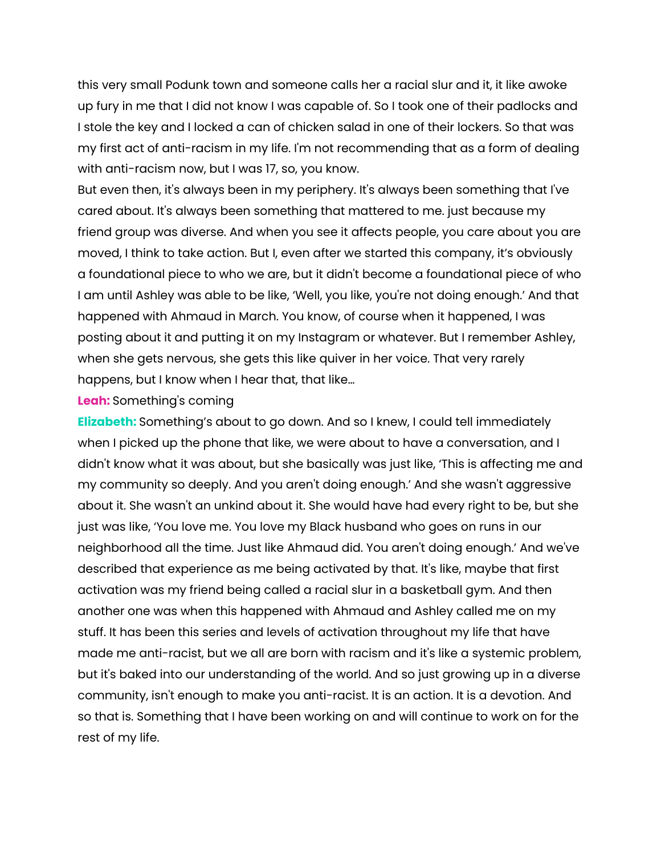this very small Podunk town and someone calls her a racial slur and it, it like awoke up fury in me that I did not know I was capable of. So I took one of their padlocks and I stole the key and I locked a can of chicken salad in one of their lockers. So that was my first act of anti-racism in my life. I'm not recommending that as a form of dealing with anti-racism now, but I was 17, so, you know.

But even then, it's always been in my periphery. It's always been something that I've cared about. It's always been something that mattered to me. just because my friend group was diverse. And when you see it affects people, you care about you are moved, I think to take action. But I, even after we started this company, it's obviously a foundational piece to who we are, but it didn't become a foundational piece of who I am until Ashley was able to be like, 'Well, you like, you're not doing enough.' And that happened with Ahmaud in March. You know, of course when it happened, I was posting about it and putting it on my Instagram or whatever. But I remember Ashley, when she gets nervous, she gets this like quiver in her voice. That very rarely happens, but I know when I hear that, that like...

#### **Leah:** Something's coming

**Elizabeth:** Something's about to go down. And so I knew, I could tell immediately when I picked up the phone that like, we were about to have a conversation, and I didn't know what it was about, but she basically was just like, 'This is affecting me and my community so deeply. And you aren't doing enough.' And she wasn't aggressive about it. She wasn't an unkind about it. She would have had every right to be, but she just was like, 'You love me. You love my Black husband who goes on runs in our neighborhood all the time. Just like Ahmaud did. You aren't doing enough.' And we've described that experience as me being activated by that. It's like, maybe that first activation was my friend being called a racial slur in a basketball gym. And then another one was when this happened with Ahmaud and Ashley called me on my stuff. It has been this series and levels of activation throughout my life that have made me anti-racist, but we all are born with racism and it's like a systemic problem, but it's baked into our understanding of the world. And so just growing up in a diverse community, isn't enough to make you anti-racist. It is an action. It is a devotion. And so that is. Something that I have been working on and will continue to work on for the rest of my life.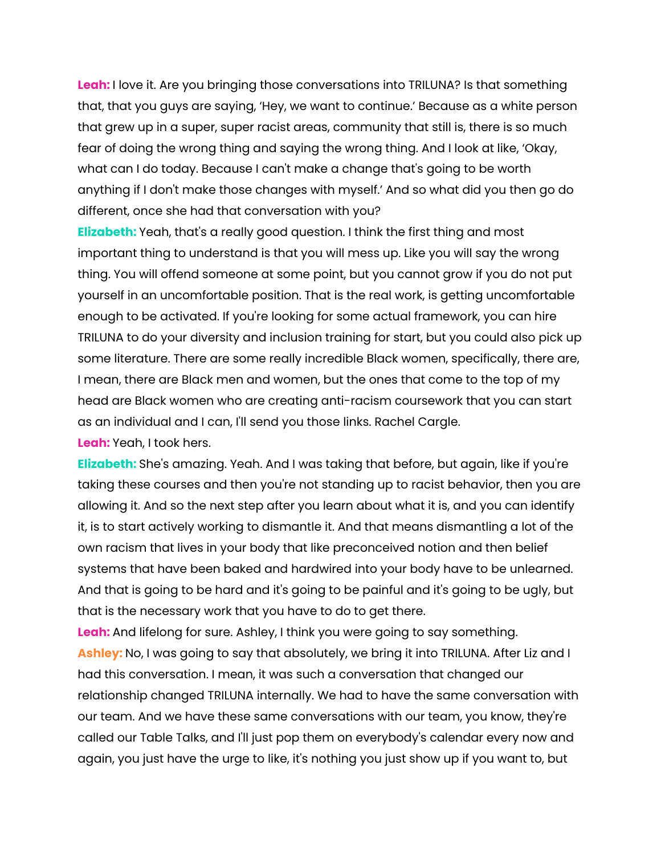**Leah:** I love it. Are you bringing those conversations into TRILUNA? Is that something that, that you guys are saying, 'Hey, we want to continue.' Because as a white person that grew up in a super, super racist areas, community that still is, there is so much fear of doing the wrong thing and saying the wrong thing. And I look at like, 'Okay, what can I do today. Because I can't make a change that's going to be worth anything if I don't make those changes with myself.' And so what did you then go do different, once she had that conversation with you?

**Elizabeth:** Yeah, that's a really good question. I think the first thing and most important thing to understand is that you will mess up. Like you will say the wrong thing. You will offend someone at some point, but you cannot grow if you do not put yourself in an uncomfortable position. That is the real work, is getting uncomfortable enough to be activated. If you're looking for some actual framework, you can hire TRILUNA to do your diversity and inclusion training for start, but you could also pick up some literature. There are some really incredible Black women, specifically, there are, I mean, there are Black men and women, but the ones that come to the top of my head are Black women who are creating anti-racism coursework that you can start as an individual and I can, I'll send you those links. Rachel Cargle.

**Leah:** Yeah, I took hers.

**Elizabeth:** She's amazing. Yeah. And I was taking that before, but again, like if you're taking these courses and then you're not standing up to racist behavior, then you are allowing it. And so the next step after you learn about what it is, and you can identify it, is to start actively working to dismantle it. And that means dismantling a lot of the own racism that lives in your body that like preconceived notion and then belief systems that have been baked and hardwired into your body have to be unlearned. And that is going to be hard and it's going to be painful and it's going to be ugly, but that is the necessary work that you have to do to get there.

**Leah:** And lifelong for sure. Ashley, I think you were going to say something. **Ashley:** No, I was going to say that absolutely, we bring it into TRILUNA. After Liz and I had this conversation. I mean, it was such a conversation that changed our relationship changed TRILUNA internally. We had to have the same conversation with our team. And we have these same conversations with our team, you know, they're called our Table Talks, and I'll just pop them on everybody's calendar every now and again, you just have the urge to like, it's nothing you just show up if you want to, but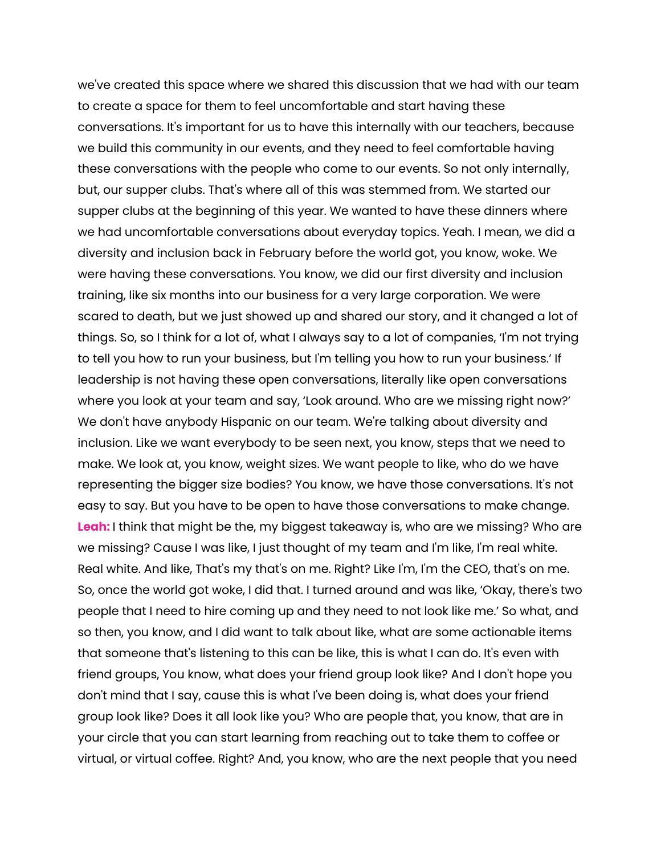we've created this space where we shared this discussion that we had with our team to create a space for them to feel uncomfortable and start having these conversations. It's important for us to have this internally with our teachers, because we build this community in our events, and they need to feel comfortable having these conversations with the people who come to our events. So not only internally, but, our supper clubs. That's where all of this was stemmed from. We started our supper clubs at the beginning of this year. We wanted to have these dinners where we had uncomfortable conversations about everyday topics. Yeah. I mean, we did a diversity and inclusion back in February before the world got, you know, woke. We were having these conversations. You know, we did our first diversity and inclusion training, like six months into our business for a very large corporation. We were scared to death, but we just showed up and shared our story, and it changed a lot of things. So, so I think for a lot of, what I always say to a lot of companies, 'I'm not trying to tell you how to run your business, but I'm telling you how to run your business.' If leadership is not having these open conversations, literally like open conversations where you look at your team and say, 'Look around. Who are we missing right now?' We don't have anybody Hispanic on our team. We're talking about diversity and inclusion. Like we want everybody to be seen next, you know, steps that we need to make. We look at, you know, weight sizes. We want people to like, who do we have representing the bigger size bodies? You know, we have those conversations. It's not easy to say. But you have to be open to have those conversations to make change. **Leah:** I think that might be the, my biggest takeaway is, who are we missing? Who are we missing? Cause I was like, I just thought of my team and I'm like, I'm real white. Real white. And like, That's my that's on me. Right? Like I'm, I'm the CEO, that's on me. So, once the world got woke, I did that. I turned around and was like, 'Okay, there's two people that I need to hire coming up and they need to not look like me.' So what, and so then, you know, and I did want to talk about like, what are some actionable items that someone that's listening to this can be like, this is what I can do. It's even with friend groups, You know, what does your friend group look like? And I don't hope you don't mind that I say, cause this is what I've been doing is, what does your friend group look like? Does it all look like you? Who are people that, you know, that are in your circle that you can start learning from reaching out to take them to coffee or virtual, or virtual coffee. Right? And, you know, who are the next people that you need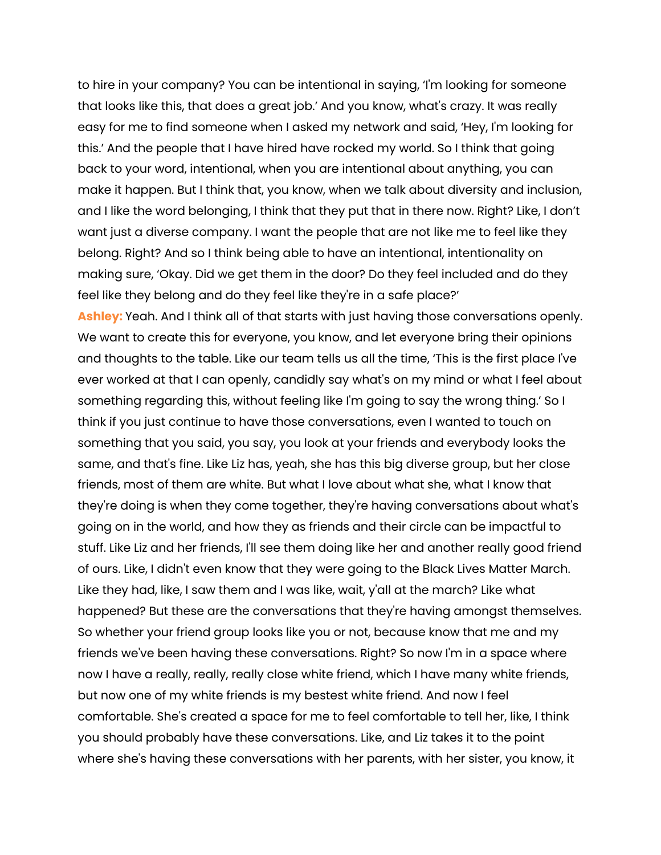to hire in your company? You can be intentional in saying, 'I'm looking for someone that looks like this, that does a great job.' And you know, what's crazy. It was really easy for me to find someone when I asked my network and said, 'Hey, I'm looking for this.' And the people that I have hired have rocked my world. So I think that going back to your word, intentional, when you are intentional about anything, you can make it happen. But I think that, you know, when we talk about diversity and inclusion, and I like the word belonging, I think that they put that in there now. Right? Like, I don't want just a diverse company. I want the people that are not like me to feel like they belong. Right? And so I think being able to have an intentional, intentionality on making sure, 'Okay. Did we get them in the door? Do they feel included and do they feel like they belong and do they feel like they're in a safe place?'

**Ashley:** Yeah. And I think all of that starts with just having those conversations openly. We want to create this for everyone, you know, and let everyone bring their opinions and thoughts to the table. Like our team tells us all the time, 'This is the first place I've ever worked at that I can openly, candidly say what's on my mind or what I feel about something regarding this, without feeling like I'm going to say the wrong thing.' So I think if you just continue to have those conversations, even I wanted to touch on something that you said, you say, you look at your friends and everybody looks the same, and that's fine. Like Liz has, yeah, she has this big diverse group, but her close friends, most of them are white. But what I love about what she, what I know that they're doing is when they come together, they're having conversations about what's going on in the world, and how they as friends and their circle can be impactful to stuff. Like Liz and her friends, I'll see them doing like her and another really good friend of ours. Like, I didn't even know that they were going to the Black Lives Matter March. Like they had, like, I saw them and I was like, wait, y'all at the march? Like what happened? But these are the conversations that they're having amongst themselves. So whether your friend group looks like you or not, because know that me and my friends we've been having these conversations. Right? So now I'm in a space where now I have a really, really, really close white friend, which I have many white friends, but now one of my white friends is my bestest white friend. And now I feel comfortable. She's created a space for me to feel comfortable to tell her, like, I think you should probably have these conversations. Like, and Liz takes it to the point where she's having these conversations with her parents, with her sister, you know, it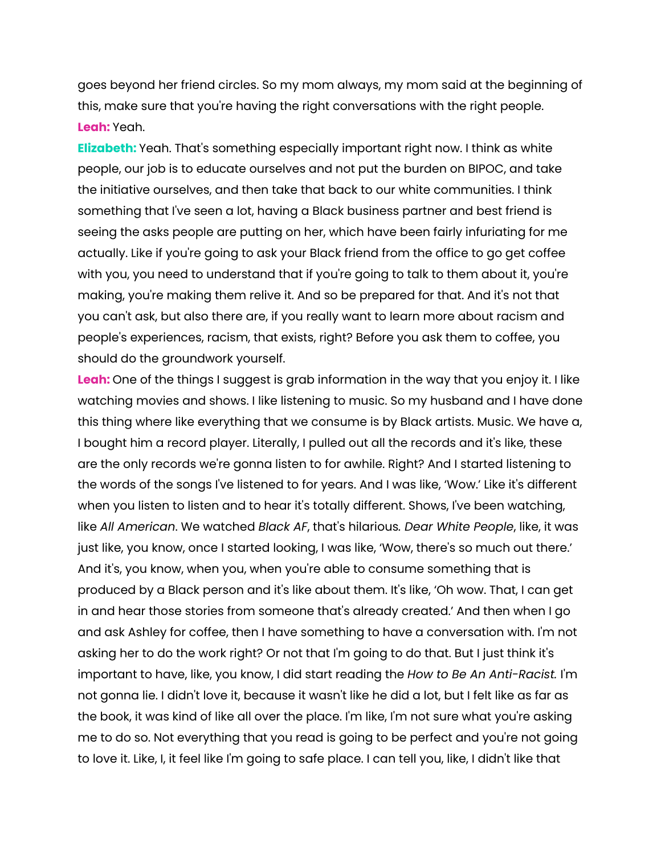goes beyond her friend circles. So my mom always, my mom said at the beginning of this, make sure that you're having the right conversations with the right people. **Leah:** Yeah.

**Elizabeth:** Yeah. That's something especially important right now. I think as white people, our job is to educate ourselves and not put the burden on BIPOC, and take the initiative ourselves, and then take that back to our white communities. I think something that I've seen a lot, having a Black business partner and best friend is seeing the asks people are putting on her, which have been fairly infuriating for me actually. Like if you're going to ask your Black friend from the office to go get coffee with you, you need to understand that if you're going to talk to them about it, you're making, you're making them relive it. And so be prepared for that. And it's not that you can't ask, but also there are, if you really want to learn more about racism and people's experiences, racism, that exists, right? Before you ask them to coffee, you should do the groundwork yourself.

**Leah:** One of the things I suggest is grab information in the way that you enjoy it. I like watching movies and shows. I like listening to music. So my husband and I have done this thing where like everything that we consume is by Black artists. Music. We have a, I bought him a record player. Literally, I pulled out all the records and it's like, these are the only records we're gonna listen to for awhile. Right? And I started listening to the words of the songs I've listened to for years. And I was like, 'Wow.' Like it's different when you listen to listen and to hear it's totally different. Shows, I've been watching, like *All American*. We watched *Black AF*, that's hilarious*. Dear White People*, like, it was just like, you know, once I started looking, I was like, 'Wow, there's so much out there.' And it's, you know, when you, when you're able to consume something that is produced by a Black person and it's like about them. It's like, 'Oh wow. That, I can get in and hear those stories from someone that's already created.' And then when I go and ask Ashley for coffee, then I have something to have a conversation with. I'm not asking her to do the work right? Or not that I'm going to do that. But I just think it's important to have, like, you know, I did start reading the *How to Be An Anti-Racist.* I'm not gonna lie. I didn't love it, because it wasn't like he did a lot, but I felt like as far as the book, it was kind of like all over the place. I'm like, I'm not sure what you're asking me to do so. Not everything that you read is going to be perfect and you're not going to love it. Like, I, it feel like I'm going to safe place. I can tell you, like, I didn't like that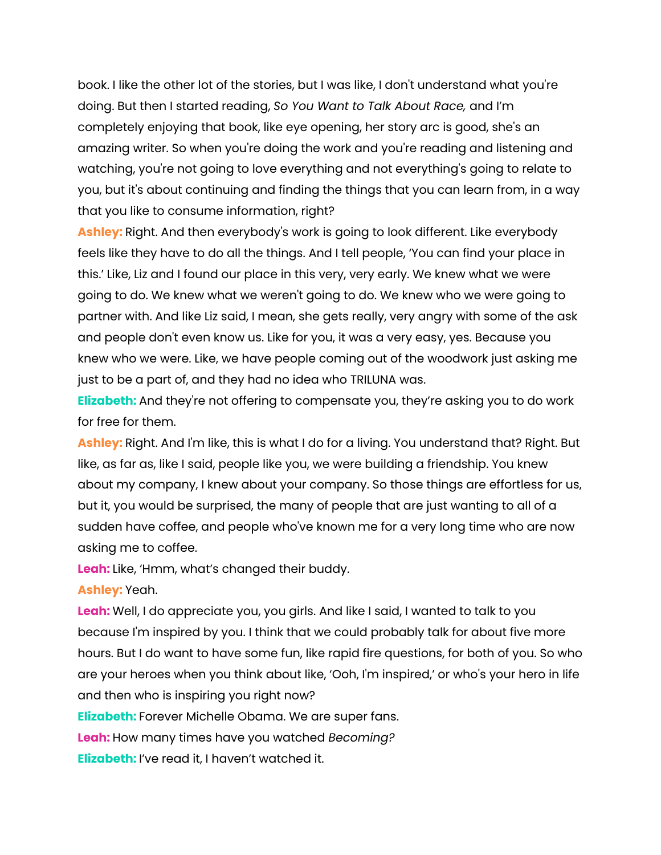book. I like the other lot of the stories, but I was like, I don't understand what you're doing. But then I started reading, *So You Want to Talk About Race,* and I'm completely enjoying that book, like eye opening, her story arc is good, she's an amazing writer. So when you're doing the work and you're reading and listening and watching, you're not going to love everything and not everything's going to relate to you, but it's about continuing and finding the things that you can learn from, in a way that you like to consume information, right?

**Ashley:** Right. And then everybody's work is going to look different. Like everybody feels like they have to do all the things. And I tell people, 'You can find your place in this.' Like, Liz and I found our place in this very, very early. We knew what we were going to do. We knew what we weren't going to do. We knew who we were going to partner with. And like Liz said, I mean, she gets really, very angry with some of the ask and people don't even know us. Like for you, it was a very easy, yes. Because you knew who we were. Like, we have people coming out of the woodwork just asking me just to be a part of, and they had no idea who TRILUNA was.

**Elizabeth:** And they're not offering to compensate you, they're asking you to do work for free for them.

Ashley: Right. And I'm like, this is what I do for a living. You understand that? Right. But like, as far as, like I said, people like you, we were building a friendship. You knew about my company, I knew about your company. So those things are effortless for us, but it, you would be surprised, the many of people that are just wanting to all of a sudden have coffee, and people who've known me for a very long time who are now asking me to coffee.

**Leah:** Like, 'Hmm, what's changed their buddy.

**Ashley:** Yeah.

**Leah:** Well, I do appreciate you, you girls. And like I said, I wanted to talk to you because I'm inspired by you. I think that we could probably talk for about five more hours. But I do want to have some fun, like rapid fire questions, for both of you. So who are your heroes when you think about like, 'Ooh, I'm inspired,' or who's your hero in life and then who is inspiring you right now?

**Elizabeth:** Forever Michelle Obama. We are super fans.

**Leah:** How many times have you watched *Becoming?*

**Elizabeth:** I've read it, I haven't watched it.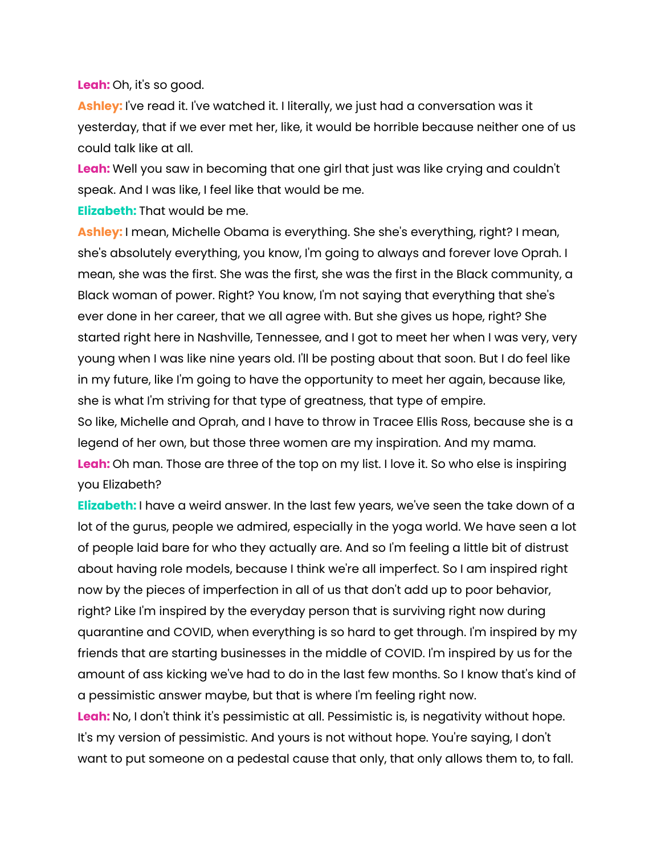**Leah:** Oh, it's so good.

**Ashley:** I've read it. I've watched it. I literally, we just had a conversation was it yesterday, that if we ever met her, like, it would be horrible because neither one of us could talk like at all.

**Leah:** Well you saw in becoming that one girl that just was like crying and couldn't speak. And I was like, I feel like that would be me.

**Elizabeth:** That would be me.

**Ashley:** I mean, Michelle Obama is everything. She she's everything, right? I mean, she's absolutely everything, you know, I'm going to always and forever love Oprah. I mean, she was the first. She was the first, she was the first in the Black community, a Black woman of power. Right? You know, I'm not saying that everything that she's ever done in her career, that we all agree with. But she gives us hope, right? She started right here in Nashville, Tennessee, and I got to meet her when I was very, very young when I was like nine years old. I'll be posting about that soon. But I do feel like in my future, like I'm going to have the opportunity to meet her again, because like, she is what I'm striving for that type of greatness, that type of empire.

So like, Michelle and Oprah, and I have to throw in Tracee Ellis Ross, because she is a legend of her own, but those three women are my inspiration. And my mama. **Leah:** Oh man. Those are three of the top on my list. I love it. So who else is inspiring you Elizabeth?

**Elizabeth:** I have a weird answer. In the last few years, we've seen the take down of a lot of the gurus, people we admired, especially in the yoga world. We have seen a lot of people laid bare for who they actually are. And so I'm feeling a little bit of distrust about having role models, because I think we're all imperfect. So I am inspired right now by the pieces of imperfection in all of us that don't add up to poor behavior, right? Like I'm inspired by the everyday person that is surviving right now during quarantine and COVID, when everything is so hard to get through. I'm inspired by my friends that are starting businesses in the middle of COVID. I'm inspired by us for the amount of ass kicking we've had to do in the last few months. So I know that's kind of a pessimistic answer maybe, but that is where I'm feeling right now.

**Leah:** No, I don't think it's pessimistic at all. Pessimistic is, is negativity without hope. It's my version of pessimistic. And yours is not without hope. You're saying, I don't want to put someone on a pedestal cause that only, that only allows them to, to fall.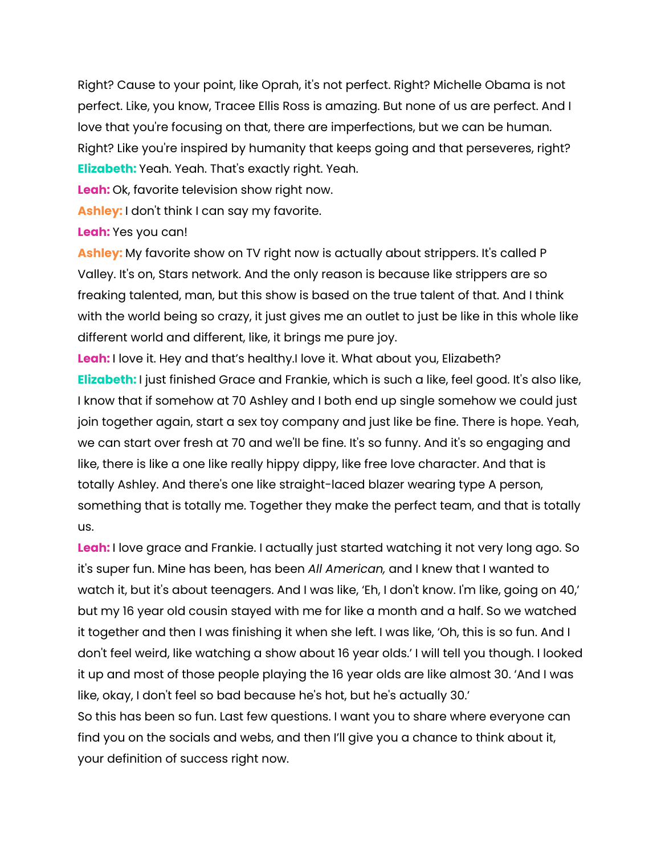Right? Cause to your point, like Oprah, it's not perfect. Right? Michelle Obama is not perfect. Like, you know, Tracee Ellis Ross is amazing. But none of us are perfect. And I love that you're focusing on that, there are imperfections, but we can be human. Right? Like you're inspired by humanity that keeps going and that perseveres, right? **Elizabeth:** Yeah. Yeah. That's exactly right. Yeah.

**Leah:** Ok, favorite television show right now.

**Ashley:** I don't think I can say my favorite.

## **Leah:** Yes you can!

**Ashley:** My favorite show on TV right now is actually about strippers. It's called P Valley. It's on, Stars network. And the only reason is because like strippers are so freaking talented, man, but this show is based on the true talent of that. And I think with the world being so crazy, it just gives me an outlet to just be like in this whole like different world and different, like, it brings me pure joy.

**Leah:** I love it. Hey and that's healthy.I love it. What about you, Elizabeth? **Elizabeth:** I just finished Grace and Frankie, which is such a like, feel good. It's also like, I know that if somehow at 70 Ashley and I both end up single somehow we could just join together again, start a sex toy company and just like be fine. There is hope. Yeah, we can start over fresh at 70 and we'll be fine. It's so funny. And it's so engaging and like, there is like a one like really hippy dippy, like free love character. And that is totally Ashley. And there's one like straight-laced blazer wearing type A person, something that is totally me. Together they make the perfect team, and that is totally us.

**Leah:** I love grace and Frankie. I actually just started watching it not very long ago. So it's super fun. Mine has been, has been *All American,* and I knew that I wanted to watch it, but it's about teenagers. And I was like, 'Eh, I don't know. I'm like, going on 40,' but my 16 year old cousin stayed with me for like a month and a half. So we watched it together and then I was finishing it when she left. I was like, 'Oh, this is so fun. And I don't feel weird, like watching a show about 16 year olds.' I will tell you though. I looked it up and most of those people playing the 16 year olds are like almost 30. 'And I was like, okay, I don't feel so bad because he's hot, but he's actually 30.' So this has been so fun. Last few questions. I want you to share where everyone can find you on the socials and webs, and then I'll give you a chance to think about it, your definition of success right now.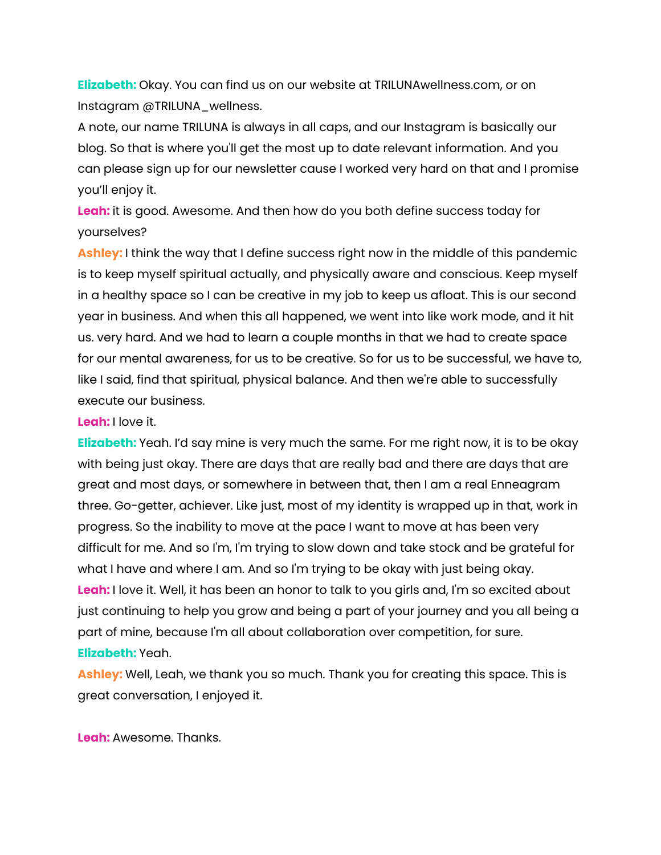**Elizabeth:** Okay. You can find us on our website at TRILUNAwellness.com, or on Instagram @TRILUNA\_wellness.

A note, our name TRILUNA is always in all caps, and our Instagram is basically our blog. So that is where you'll get the most up to date relevant information. And you can please sign up for our newsletter cause I worked very hard on that and I promise you'll enjoy it.

**Leah:** it is good. Awesome. And then how do you both define success today for yourselves?

**Ashley:** I think the way that I define success right now in the middle of this pandemic is to keep myself spiritual actually, and physically aware and conscious. Keep myself in a healthy space so I can be creative in my job to keep us afloat. This is our second year in business. And when this all happened, we went into like work mode, and it hit us. very hard. And we had to learn a couple months in that we had to create space for our mental awareness, for us to be creative. So for us to be successful, we have to, like I said, find that spiritual, physical balance. And then we're able to successfully execute our business.

#### **Leah:** I love it.

**Elizabeth:** Yeah. I'd say mine is very much the same. For me right now, it is to be okay with being just okay. There are days that are really bad and there are days that are great and most days, or somewhere in between that, then I am a real Enneagram three. Go-getter, achiever. Like just, most of my identity is wrapped up in that, work in progress. So the inability to move at the pace I want to move at has been very difficult for me. And so I'm, I'm trying to slow down and take stock and be grateful for what I have and where I am. And so I'm trying to be okay with just being okay. **Leah:** I love it. Well, it has been an honor to talk to you girls and, I'm so excited about just continuing to help you grow and being a part of your journey and you all being a part of mine, because I'm all about collaboration over competition, for sure. **Elizabeth:** Yeah.

**Ashley:** Well, Leah, we thank you so much. Thank you for creating this space. This is great conversation, I enjoyed it.

**Leah:** Awesome. Thanks.